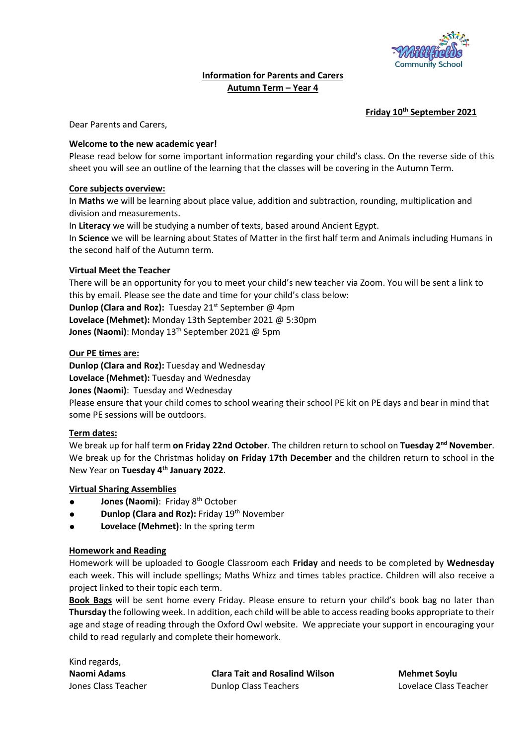

## **Information for Parents and Carers Autumn Term – Year 4**

## **Friday 10th September 2021**

Dear Parents and Carers,

## **Welcome to the new academic year!**

Please read below for some important information regarding your child's class. On the reverse side of this sheet you will see an outline of the learning that the classes will be covering in the Autumn Term.

## **Core subjects overview:**

In **Maths** we will be learning about place value, addition and subtraction, rounding, multiplication and division and measurements.

In **Literacy** we will be studying a number of texts, based around Ancient Egypt.

In **Science** we will be learning about States of Matter in the first half term and Animals including Humans in the second half of the Autumn term.

## **Virtual Meet the Teacher**

There will be an opportunity for you to meet your child's new teacher via Zoom. You will be sent a link to this by email. Please see the date and time for your child's class below:

**Dunlop (Clara and Roz):** Tuesday 21<sup>st</sup> September @ 4pm

**Lovelace (Mehmet):** Monday 13th September 2021 @ 5:30pm

**Jones (Naomi)**: Monday 13<sup>th</sup> September 2021 @ 5pm

## **Our PE times are:**

**Dunlop (Clara and Roz):** Tuesday and Wednesday **Lovelace (Mehmet):** Tuesday and Wednesday **Jones (Naomi)**: Tuesday and Wednesday Please ensure that your child comes to school wearing their school PE kit on PE days and bear in mind that some PE sessions will be outdoors.

### **Term dates:**

We break up for half term **on Friday 22nd October**. The children return to school on **Tuesday 2nd November**. We break up for the Christmas holiday **on Friday 17th December** and the children return to school in the New Year on **Tuesday 4th January 2022**.

### **Virtual Sharing Assemblies**

- **Jones (Naomi)**: Friday 8<sup>th</sup> October
- **Dunlop (Clara and Roz): Friday 19th November**
- **Lovelace (Mehmet):** In the spring term

### **Homework and Reading**

Homework will be uploaded to Google Classroom each **Friday** and needs to be completed by **Wednesday**  each week. This will include spellings; Maths Whizz and times tables practice. Children will also receive a project linked to their topic each term.

**Book Bags** will be sent home every Friday. Please ensure to return your child's book bag no later than **Thursday** the following week. In addition, each child will be able to access reading books appropriate to their age and stage of reading through the Oxford Owl website. We appreciate your support in encouraging your child to read regularly and complete their homework.

Kind regards,

**Naomi Adams Clara Tait and Rosalind Wilson Mehmet Soylu**  Jones Class Teacher Dunlop Class Teachers Lovelace Class Teacher